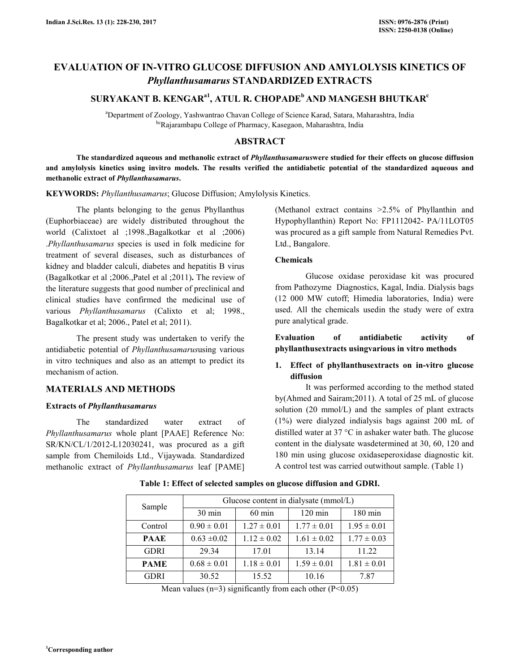# **EVALUATION OF IN-VITRO GLUCOSE DIFFUSION AND AMYLOLYSIS KINETICS OF**  *Phyllanthusamarus* **STANDARDIZED EXTRACTS**

## **SURYAKANT B. KENGARa1, ATUL R. CHOPADE<sup>b</sup>AND MANGESH BHUTKAR<sup>c</sup>**

<sup>a</sup>Department of Zoology, Yashwantrao Chavan College of Science Karad, Satara, Maharashtra, India <sup>bc</sup>Rajarambapu College of Pharmacy, Kasegaon, Maharashtra, India

## **ABSTRACT**

 **The standardized aqueous and methanolic extract of** *Phyllanthusamarus***were studied for their effects on glucose diffusion and amylolysis kinetics using invitro models. The results verified the antidiabetic potential of the standardized aqueous and methanolic extract of** *Phyllanthusamarus***.** 

**KEYWORDS:** *Phyllanthusamarus*; Glucose Diffusion; Amylolysis Kinetics.

The plants belonging to the genus Phyllanthus (Euphorbiaceae) are widely distributed throughout the world (Calixtoet al ;1998.,Bagalkotkar et al ;2006) .*Phyllanthusamarus* species is used in folk medicine for treatment of several diseases, such as disturbances of kidney and bladder calculi, diabetes and hepatitis B virus (Bagalkotkar et al ;2006.,Patel et al ;2011)**.** The review of the literature suggests that good number of preclinical and clinical studies have confirmed the medicinal use of various *Phyllanthusamarus* (Calixto et al; 1998., Bagalkotkar et al; 2006., Patel et al; 2011).

The present study was undertaken to verify the antidiabetic potential of *Phyllanthusamarus*using various in vitro techniques and also as an attempt to predict its mechanism of action.

### **MATERIALS AND METHODS**

#### **Extracts of** *Phyllanthusamarus*

The standardized water extract of *Phyllanthusamarus* whole plant [PAAE] Reference No: SR/KN/CL/1/2012-L12030241, was procured as a gift sample from Chemiloids Ltd., Vijaywada. Standardized methanolic extract of *Phyllanthusamarus* leaf [PAME]

(Methanol extract contains >2.5% of Phyllanthin and Hypophyllanthin) Report No: FP1112042- PA/11LOT05 was procured as a gift sample from Natural Remedies Pvt. Ltd., Bangalore.

#### **Chemicals**

 Glucose oxidase peroxidase kit was procured from Pathozyme Diagnostics, Kagal, India. Dialysis bags (12 000 MW cutoff; Himedia laboratories, India) were used. All the chemicals usedin the study were of extra pure analytical grade.

**Evaluation of antidiabetic activity of phyllanthusextracts usingvarious in vitro methods** 

## **1. Effect of phyllanthusextracts on in-vitro glucose diffusion**

 It was performed according to the method stated by(Ahmed and Sairam;2011). A total of 25 mL of glucose solution (20 mmol/L) and the samples of plant extracts (1%) were dialyzed indialysis bags against 200 mL of distilled water at 37 °C in ashaker water bath. The glucose content in the dialysate wasdetermined at 30, 60, 120 and 180 min using glucose oxidaseperoxidase diagnostic kit. A control test was carried outwithout sample. (Table 1)

| Sample      | Glucose content in dialysate (mmol/L) |                  |                   |                   |  |
|-------------|---------------------------------------|------------------|-------------------|-------------------|--|
|             | 30 min                                | $60 \text{ min}$ | $120 \text{ min}$ | $180 \text{ min}$ |  |
| Control     | $0.90 \pm 0.01$                       | $1.27 \pm 0.01$  | $1.77 \pm 0.01$   | $1.95 \pm 0.01$   |  |
| <b>PAAE</b> | $0.63 \pm 0.02$                       | $1.12 \pm 0.02$  | $1.61 \pm 0.02$   | $1.77 \pm 0.03$   |  |
| <b>GDRI</b> | 29.34                                 | 17.01            | 13.14             | 11.22             |  |
| <b>PAME</b> | $0.68 \pm 0.01$                       | $1.18 \pm 0.01$  | $1.59 \pm 0.01$   | $1.81 \pm 0.01$   |  |
| <b>GDRI</b> | 30.52                                 | 15.52            | 10.16             | 787               |  |

**Table 1: Effect of selected samples on glucose diffusion and GDRI.** 

Mean values ( $n=3$ ) significantly from each other ( $P<0.05$ )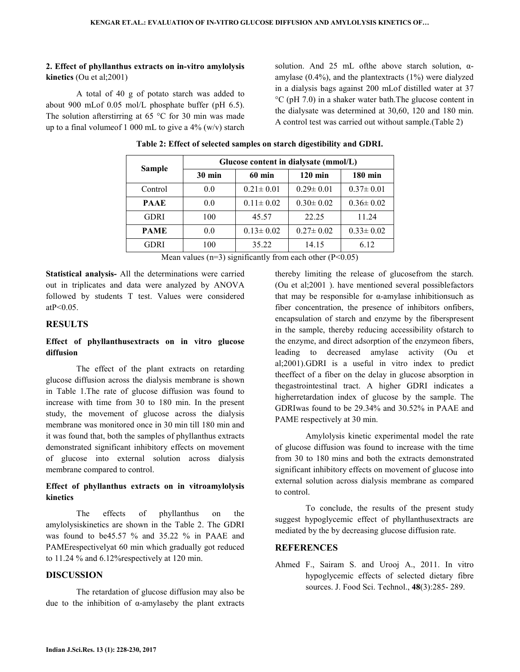## **2. Effect of phyllanthus extracts on in-vitro amylolysis kinetics** (Ou et al;2001)

 A total of 40 g of potato starch was added to about 900 mLof 0.05 mol/L phosphate buffer (pH 6.5). The solution afterstirring at 65  $\degree$ C for 30 min was made up to a final volume of 1 000 mL to give a  $4\%$  (w/v) starch solution. And 25 mL ofthe above starch solution, αamylase  $(0.4\%)$ , and the plantextracts  $(1\%)$  were dialyzed in a dialysis bags against 200 mLof distilled water at 37 °C (pH 7.0) in a shaker water bath.The glucose content in the dialysate was determined at 30,60, 120 and 180 min. A control test was carried out without sample.(Table 2)

| Sample      | Glucose content in dialysate (mmol/L) |                 |                 |                 |  |
|-------------|---------------------------------------|-----------------|-----------------|-----------------|--|
|             | $30 \text{ min}$                      | <b>60 min</b>   | $120$ min       | <b>180 min</b>  |  |
| Control     | 0.0                                   | $0.21 \pm 0.01$ | $0.29 \pm 0.01$ | $0.37 \pm 0.01$ |  |
| <b>PAAE</b> | 0.0                                   | $0.11 \pm 0.02$ | $0.30 \pm 0.02$ | $0.36 \pm 0.02$ |  |
| <b>GDRI</b> | 100                                   | 45.57           | 22.25           | 11.24           |  |
| <b>PAME</b> | 0.0                                   | $0.13 \pm 0.02$ | $0.27 \pm 0.02$ | $0.33 \pm 0.02$ |  |
| GDRI        | 100                                   | 35.22           | 14.15           | 6.12            |  |

## **Table 2: Effect of selected samples on starch digestibility and GDRI.**

Mean values ( $n=3$ ) significantly from each other ( $P<0.05$ )

**Statistical analysis-** All the determinations were carried out in triplicates and data were analyzed by ANOVA followed by students T test. Values were considered  $atP < 0.05$ .

### **RESULTS**

## **Effect of phyllanthusextracts on in vitro glucose diffusion**

 The effect of the plant extracts on retarding glucose diffusion across the dialysis membrane is shown in Table 1.The rate of glucose diffusion was found to increase with time from 30 to 180 min. In the present study, the movement of glucose across the dialysis membrane was monitored once in 30 min till 180 min and it was found that, both the samples of phyllanthus extracts demonstrated significant inhibitory effects on movement of glucose into external solution across dialysis membrane compared to control.

## **Effect of phyllanthus extracts on in vitroamylolysis kinetics**

 The effects of phyllanthus on the amylolysiskinetics are shown in the Table 2. The GDRI was found to be45.57 % and 35.22 % in PAAE and PAMErespectivelyat 60 min which gradually got reduced to 11.24 % and 6.12%respectively at 120 min.

#### **DISCUSSION**

 The retardation of glucose diffusion may also be due to the inhibition of α-amylaseby the plant extracts thereby limiting the release of glucosefrom the starch. (Ou et al;2001 ). have mentioned several possiblefactors that may be responsible for α-amylase inhibitionsuch as fiber concentration, the presence of inhibitors onfibers, encapsulation of starch and enzyme by the fiberspresent in the sample, thereby reducing accessibility ofstarch to the enzyme, and direct adsorption of the enzymeon fibers, leading to decreased amylase activity (Ou et al;2001).GDRI is a useful in vitro index to predict theeffect of a fiber on the delay in glucose absorption in thegastrointestinal tract. A higher GDRI indicates a higherretardation index of glucose by the sample. The GDRIwas found to be 29.34% and 30.52% in PAAE and PAME respectively at 30 min.

 Amylolysis kinetic experimental model the rate of glucose diffusion was found to increase with the time from 30 to 180 mins and both the extracts demonstrated significant inhibitory effects on movement of glucose into external solution across dialysis membrane as compared to control.

 To conclude, the results of the present study suggest hypoglycemic effect of phyllanthusextracts are mediated by the by decreasing glucose diffusion rate.

#### **REFERENCES**

Ahmed F., Sairam S. and Urooj A., 2011. In vitro hypoglycemic effects of selected dietary fibre sources. J. Food Sci. Technol., **48**(3):285- 289.